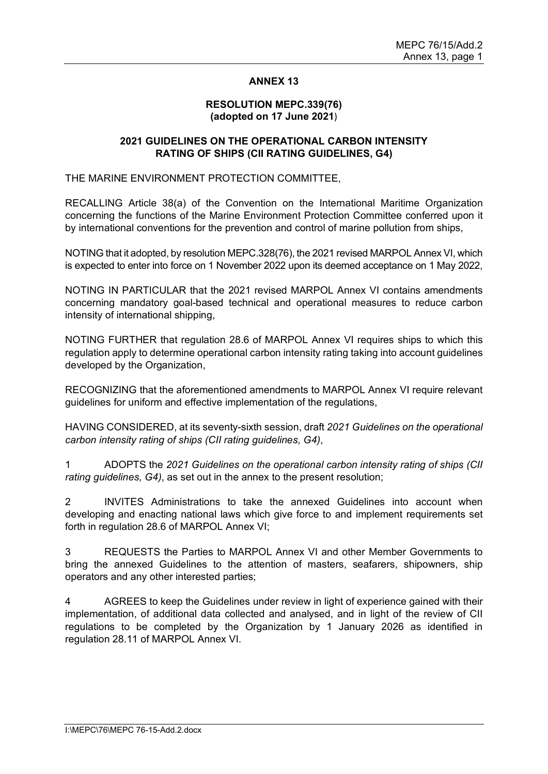## **ANNEX 13**

#### **RESOLUTION MEPC.339(76) (adopted on 17 June 2021**)

## **2021 GUIDELINES ON THE OPERATIONAL CARBON INTENSITY RATING OF SHIPS (CII RATING GUIDELINES, G4)**

THE MARINE ENVIRONMENT PROTECTION COMMITTEE,

RECALLING Article 38(a) of the Convention on the International Maritime Organization concerning the functions of the Marine Environment Protection Committee conferred upon it by international conventions for the prevention and control of marine pollution from ships,

NOTING that it adopted, by resolution MEPC.328(76), the 2021 revised MARPOL Annex VI, which is expected to enter into force on 1 November 2022 upon its deemed acceptance on 1 May 2022,

NOTING IN PARTICULAR that the 2021 revised MARPOL Annex VI contains amendments concerning mandatory goal-based technical and operational measures to reduce carbon intensity of international shipping,

NOTING FURTHER that regulation 28.6 of MARPOL Annex VI requires ships to which this regulation apply to determine operational carbon intensity rating taking into account guidelines developed by the Organization,

RECOGNIZING that the aforementioned amendments to MARPOL Annex VI require relevant guidelines for uniform and effective implementation of the regulations,

HAVING CONSIDERED, at its seventy-sixth session, draft *2021 Guidelines on the operational carbon intensity rating of ships (CII rating guidelines, G4)*,

1 ADOPTS the *2021 Guidelines on the operational carbon intensity rating of ships (CII rating guidelines, G4)*, as set out in the annex to the present resolution;

2 INVITES Administrations to take the annexed Guidelines into account when developing and enacting national laws which give force to and implement requirements set forth in regulation 28.6 of MARPOL Annex VI;

3 REQUESTS the Parties to MARPOL Annex VI and other Member Governments to bring the annexed Guidelines to the attention of masters, seafarers, shipowners, ship operators and any other interested parties;

4 AGREES to keep the Guidelines under review in light of experience gained with their implementation, of additional data collected and analysed, and in light of the review of CII regulations to be completed by the Organization by 1 January 2026 as identified in regulation 28.11 of MARPOL Annex VI.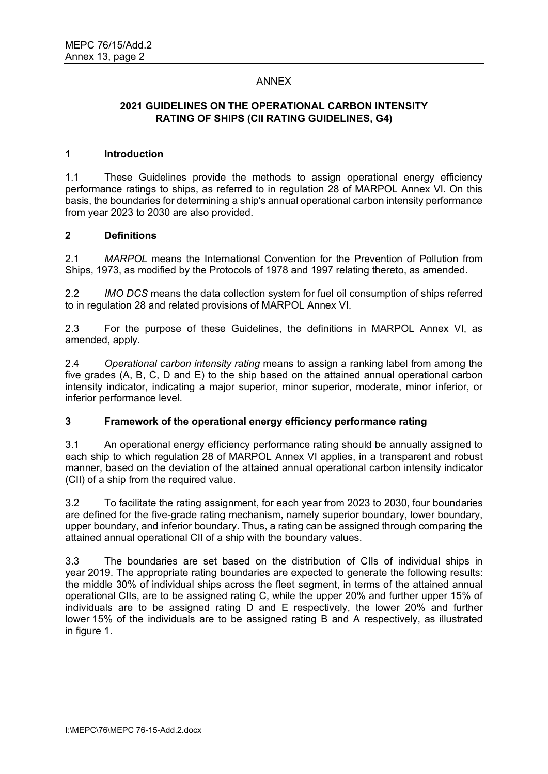# ANNEX

# **2021 GUIDELINES ON THE OPERATIONAL CARBON INTENSITY RATING OF SHIPS (CII RATING GUIDELINES, G4)**

#### **1 Introduction**

1.1 These Guidelines provide the methods to assign operational energy efficiency performance ratings to ships, as referred to in regulation 28 of MARPOL Annex VI. On this basis, the boundaries for determining a shipʹs annual operational carbon intensity performance from year 2023 to 2030 are also provided.

#### **2 Definitions**

2.1 *MARPOL* means the International Convention for the Prevention of Pollution from Ships, 1973, as modified by the Protocols of 1978 and 1997 relating thereto, as amended.

2.2 *IMO DCS* means the data collection system for fuel oil consumption of ships referred to in regulation 28 and related provisions of MARPOL Annex VI.

2.3 For the purpose of these Guidelines, the definitions in MARPOL Annex VI, as amended, apply.

2.4 *Operational carbon intensity rating* means to assign a ranking label from among the five grades (A, B, C, D and E) to the ship based on the attained annual operational carbon intensity indicator, indicating a major superior, minor superior, moderate, minor inferior, or inferior performance level.

## **3 Framework of the operational energy efficiency performance rating**

3.1 An operational energy efficiency performance rating should be annually assigned to each ship to which regulation 28 of MARPOL Annex VI applies, in a transparent and robust manner, based on the deviation of the attained annual operational carbon intensity indicator (CII) of a ship from the required value.

3.2 To facilitate the rating assignment, for each year from 2023 to 2030, four boundaries are defined for the five-grade rating mechanism, namely superior boundary, lower boundary, upper boundary, and inferior boundary. Thus, a rating can be assigned through comparing the attained annual operational CII of a ship with the boundary values.

3.3 The boundaries are set based on the distribution of CIIs of individual ships in year 2019. The appropriate rating boundaries are expected to generate the following results: the middle 30% of individual ships across the fleet segment, in terms of the attained annual operational CIIs, are to be assigned rating C, while the upper 20% and further upper 15% of individuals are to be assigned rating D and E respectively, the lower 20% and further lower 15% of the individuals are to be assigned rating B and A respectively, as illustrated in figure 1.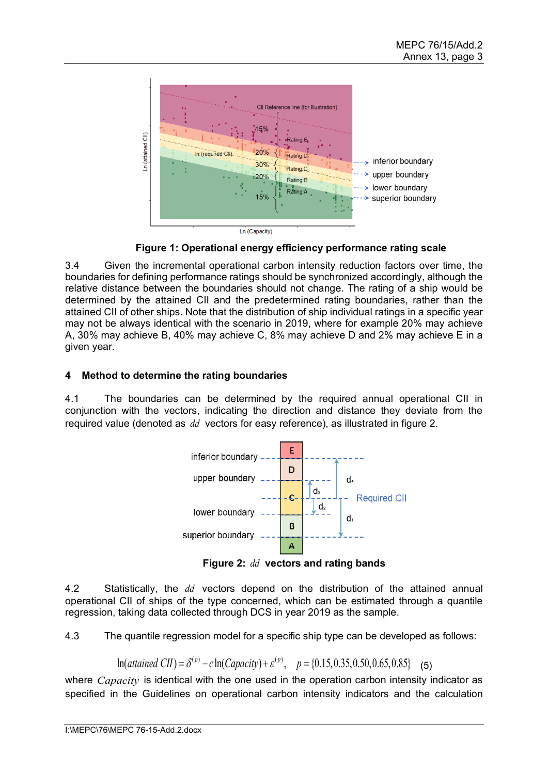

**Figure 1: Operational energy efficiency performance rating scale**

3.4 Given the incremental operational carbon intensity reduction factors over time, the boundaries for defining performance ratings should be synchronized accordingly, although the relative distance between the boundaries should not change. The rating of a ship would be determined by the attained CII and the predetermined rating boundaries, rather than the attained CII of other ships. Note that the distribution of ship individual ratings in a specific year may not be always identical with the scenario in 2019, where for example 20% may achieve A, 30% may achieve B, 40% may achieve C, 8% may achieve D and 2% may achieve E in a given year.

# **4 Method to determine the rating boundaries**

4.1 The boundaries can be determined by the required annual operational CII in conjunction with the vectors, indicating the direction and distance they deviate from the required value (denoted as *dd* vectors for easy reference), as illustrated in figure 2.



**Figure 2:** *dd* **vectors and rating bands**

4.2 Statistically, the *dd* vectors depend on the distribution of the attained annual operational CII of ships of the type concerned, which can be estimated through a quantile regression, taking data collected through DCS in year 2019 as the sample.

4.3 The quantile regression model for a specific ship type can be developed as follows:

$$
\ln(attained\ CII) = \delta^{(p)} - c\ln(Capacity) + \varepsilon^{(p)}, \quad p = \{0.15, 0.35, 0.50, 0.65, 0.85\} \tag{5}
$$

where *Capacity* is identical with the one used in the operation carbon intensity indicator as specified in the Guidelines on operational carbon intensity indicators and the calculation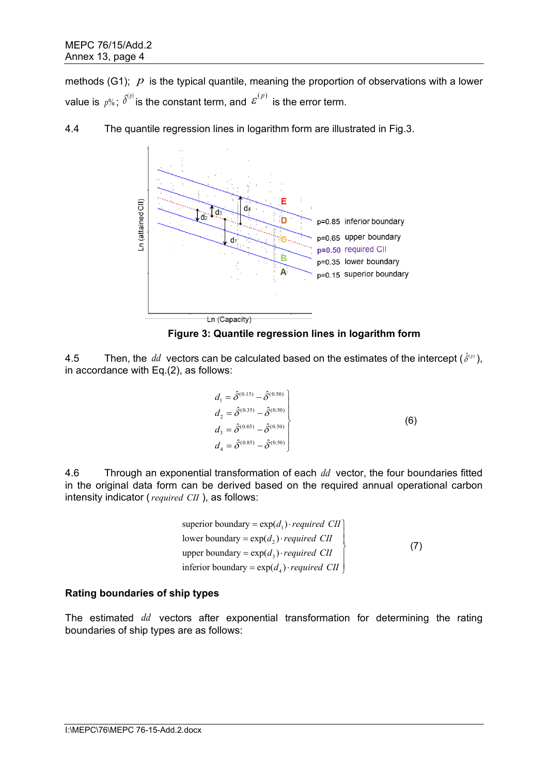methods (G1);  $p$  is the typical quantile, meaning the proportion of observations with a lower value is  $\,p\% \, ; \; \delta^{(p)}$  is the constant term, and  $\, {\cal E}^{(p)} \,$  is the error term.



4.4 The quantile regression lines in logarithm form are illustrated in Fig.3.

**Figure 3: Quantile regression lines in logarithm form**

4.5 Then, the *dd* vectors can be calculated based on the estimates of the intercept  $(\hat{\delta}^{(p)})$ . in accordance with Eq.(2), as follows:

$$
d_1 = \hat{\delta}^{(0.15)} - \hat{\delta}^{(0.50)}
$$
  
\n
$$
d_2 = \hat{\delta}^{(0.35)} - \hat{\delta}^{(0.50)}
$$
  
\n
$$
d_3 = \hat{\delta}^{(0.65)} - \hat{\delta}^{(0.50)}
$$
  
\n
$$
d_4 = \hat{\delta}^{(0.85)} - \hat{\delta}^{(0.50)}
$$
\n(6)

4.6 Through an exponential transformation of each *dd* vector, the four boundaries fitted in the original data form can be derived based on the required annual operational carbon intensity indicator (*required CII* ), as follows:

superior boundary = 
$$
\exp(d_1) \cdot required \quad CII
$$

\nlower boundary =  $\exp(d_2) \cdot required \quad CII$ 

\nupper boundary =  $\exp(d_3) \cdot required \quad CII$ 

\ninferior boundary =  $\exp(d_4) \cdot required \quad CII$ 

\n(7)

## **Rating boundaries of ship types**

The estimated *dd* vectors after exponential transformation for determining the rating boundaries of ship types are as follows: